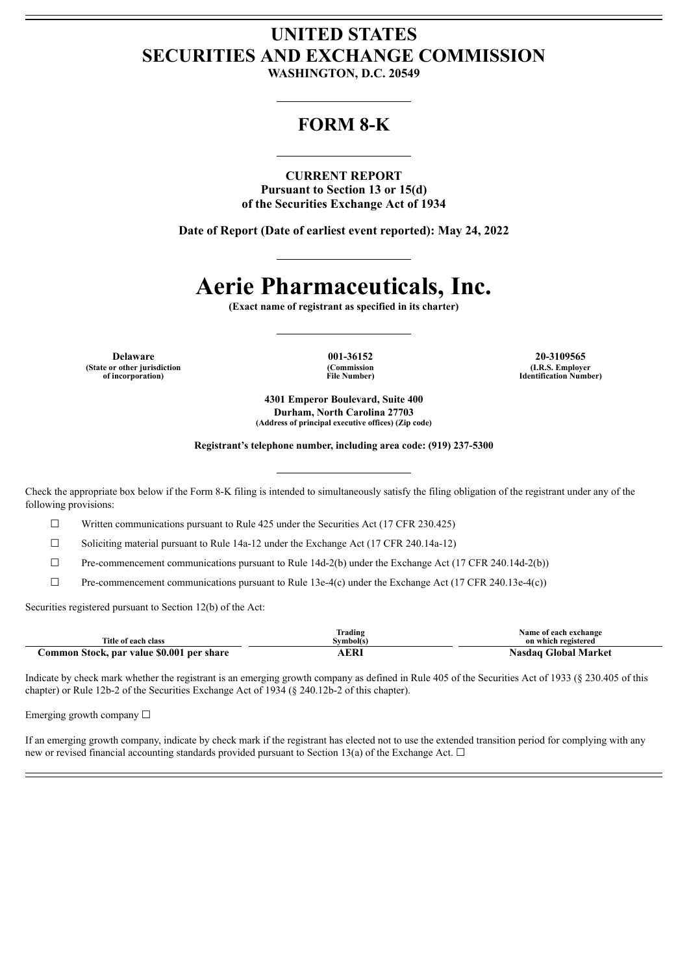## **UNITED STATES SECURITIES AND EXCHANGE COMMISSION**

**WASHINGTON, D.C. 20549**

### **FORM 8-K**

**CURRENT REPORT Pursuant to Section 13 or 15(d) of the Securities Exchange Act of 1934**

**Date of Report (Date of earliest event reported): May 24, 2022**

# **Aerie Pharmaceuticals, Inc.**

**(Exact name of registrant as specified in its charter)**

**(State or other jurisdiction of incorporation)**

**(Commission File Number)**

**Delaware 001-36152 20-3109565 (I.R.S. Employer Identification Number)**

> **4301 Emperor Boulevard, Suite 400 Durham, North Carolina 27703 (Address of principal executive offices) (Zip code)**

**Registrant's telephone number, including area code: (919) 237-5300**

Check the appropriate box below if the Form 8-K filing is intended to simultaneously satisfy the filing obligation of the registrant under any of the following provisions:

 $\Box$  Written communications pursuant to Rule 425 under the Securities Act (17 CFR 230.425)

☐ Soliciting material pursuant to Rule 14a-12 under the Exchange Act (17 CFR 240.14a-12)

 $\Box$  Pre-commencement communications pursuant to Rule 14d-2(b) under the Exchange Act (17 CFR 240.14d-2(b))

 $\Box$  Pre-commencement communications pursuant to Rule 13e-4(c) under the Exchange Act (17 CFR 240.13e-4(c))

Securities registered pursuant to Section 12(b) of the Act:

| Title of each class                       | m.<br>ſrading<br>Svmbol(s) | Name of each exchange<br>on which registered |
|-------------------------------------------|----------------------------|----------------------------------------------|
| Common Stock, par value \$0.001 per share | AERI                       | Nasdag Global Market                         |

Indicate by check mark whether the registrant is an emerging growth company as defined in Rule 405 of the Securities Act of 1933 (§ 230.405 of this chapter) or Rule 12b-2 of the Securities Exchange Act of 1934 (§ 240.12b-2 of this chapter).

Emerging growth company ☐

If an emerging growth company, indicate by check mark if the registrant has elected not to use the extended transition period for complying with any new or revised financial accounting standards provided pursuant to Section 13(a) of the Exchange Act.  $\Box$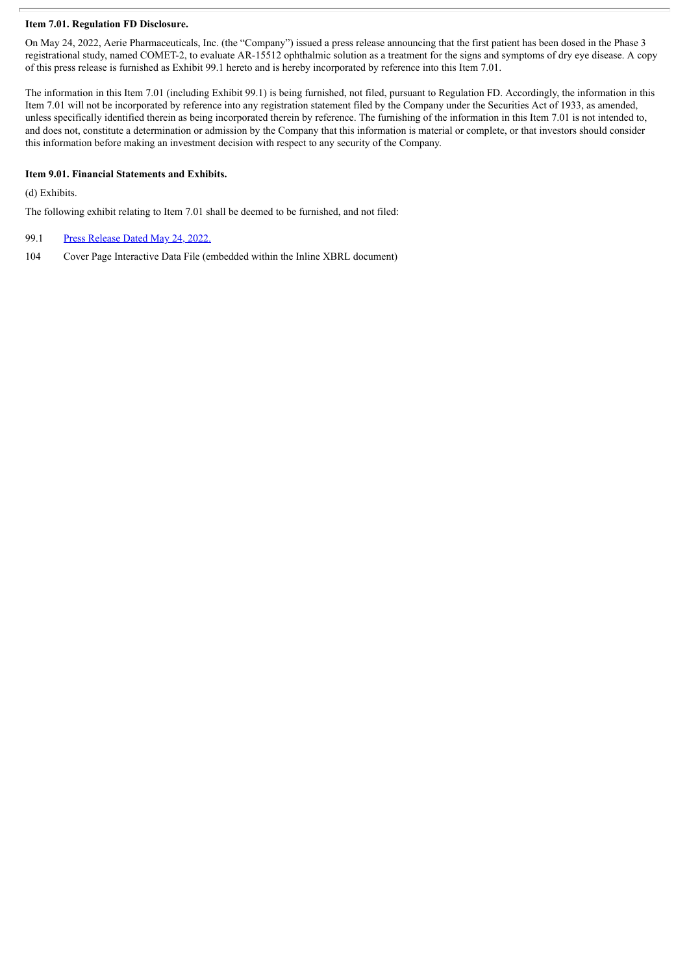#### **Item 7.01. Regulation FD Disclosure.**

On May 24, 2022, Aerie Pharmaceuticals, Inc. (the "Company") issued a press release announcing that the first patient has been dosed in the Phase 3 registrational study, named COMET-2, to evaluate AR-15512 ophthalmic solution as a treatment for the signs and symptoms of dry eye disease. A copy of this press release is furnished as Exhibit 99.1 hereto and is hereby incorporated by reference into this Item 7.01.

The information in this Item 7.01 (including Exhibit 99.1) is being furnished, not filed, pursuant to Regulation FD. Accordingly, the information in this Item 7.01 will not be incorporated by reference into any registration statement filed by the Company under the Securities Act of 1933, as amended, unless specifically identified therein as being incorporated therein by reference. The furnishing of the information in this Item 7.01 is not intended to, and does not, constitute a determination or admission by the Company that this information is material or complete, or that investors should consider this information before making an investment decision with respect to any security of the Company.

#### **Item 9.01. Financial Statements and Exhibits.**

(d) Exhibits.

The following exhibit relating to Item 7.01 shall be deemed to be furnished, and not filed:

- 99.1 Press [Release](#page-3-0) Dated May 24, 2022.
- 104 Cover Page Interactive Data File (embedded within the Inline XBRL document)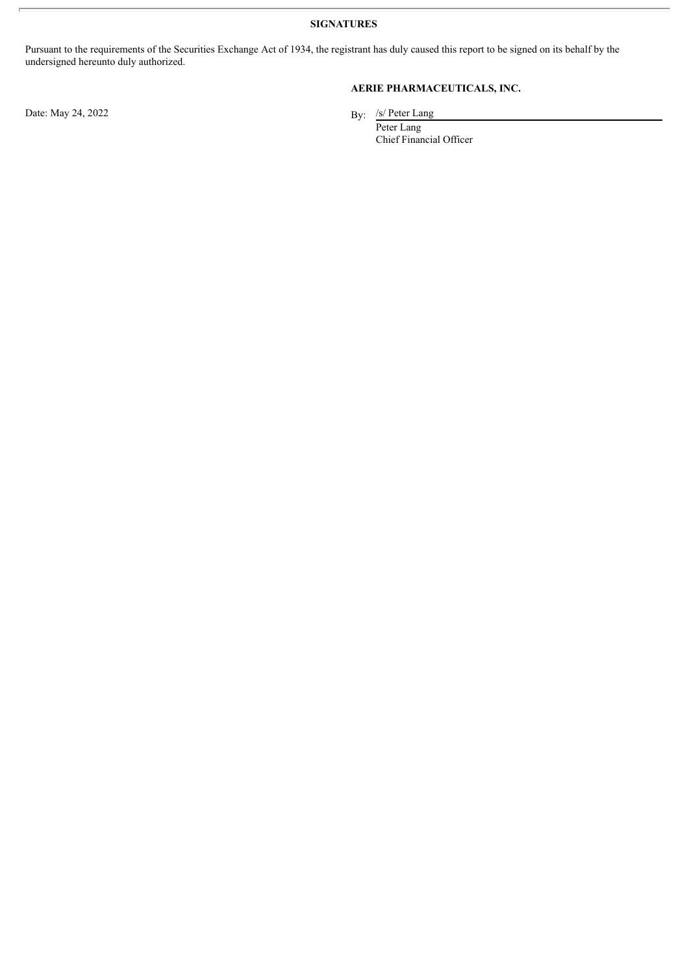**SIGNATURES**

Pursuant to the requirements of the Securities Exchange Act of 1934, the registrant has duly caused this report to be signed on its behalf by the undersigned hereunto duly authorized.

Date: May 24, 2022

### **AERIE PHARMACEUTICALS, INC.**

By:  $/s/$  Peter Lang

Peter Lang Chief Financial Officer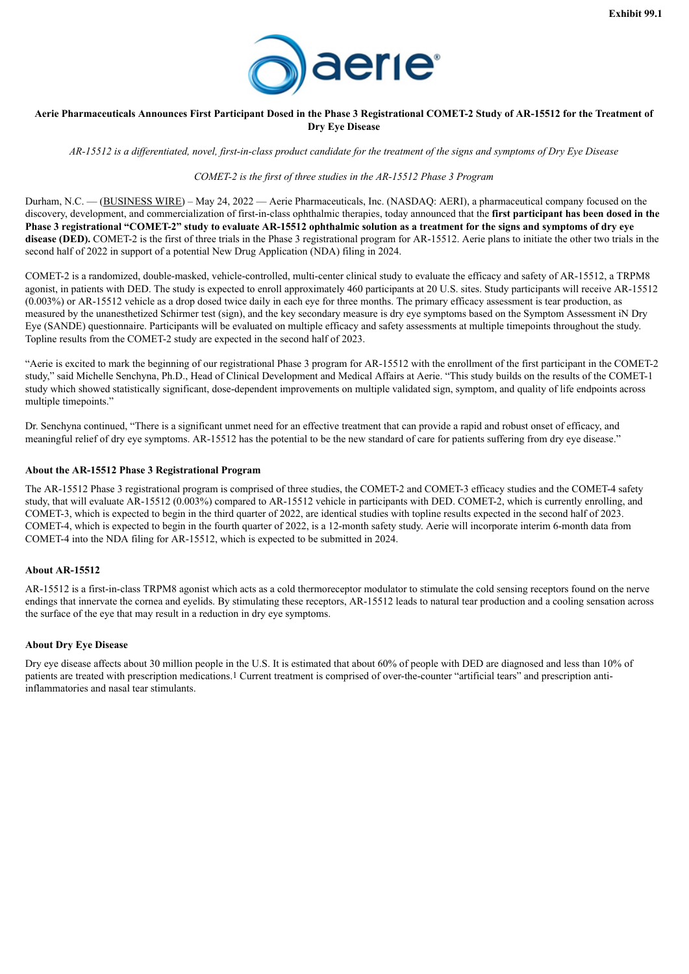

#### <span id="page-3-0"></span>Aerie Pharmaceuticals Announces First Participant Dosed in the Phase 3 Registrational COMET-2 Study of AR-15512 for the Treatment of **Dry Eye Disease**

AR-15512 is a differentiated, novel, first-in-class product candidate for the treatment of the signs and symptoms of Dry Eye Disease

*COMET-2 is the first of three studies in the AR-15512 Phase 3 Program*

Durham, N.C. — (BUSINESS WIRE) – May 24, 2022 — Aerie Pharmaceuticals, Inc. (NASDAQ: AERI), a pharmaceutical company focused on the discovery, development, and commercialization of first-in-class ophthalmic therapies, today announced that the **first participant has been dosed in the** Phase 3 registrational "COMET-2" study to evaluate AR-15512 ophthalmic solution as a treatment for the signs and symptoms of dry eye **disease (DED).** COMET-2 is the first of three trials in the Phase 3 registrational program for AR-15512. Aerie plans to initiate the other two trials in the second half of 2022 in support of a potential New Drug Application (NDA) filing in 2024.

COMET-2 is a randomized, double-masked, vehicle-controlled, multi-center clinical study to evaluate the efficacy and safety of AR-15512, a TRPM8 agonist, in patients with DED. The study is expected to enroll approximately 460 participants at 20 U.S. sites. Study participants will receive AR-15512 (0.003%) or AR-15512 vehicle as a drop dosed twice daily in each eye for three months. The primary efficacy assessment is tear production, as measured by the unanesthetized Schirmer test (sign), and the key secondary measure is dry eye symptoms based on the Symptom Assessment iN Dry Eye (SANDE) questionnaire. Participants will be evaluated on multiple efficacy and safety assessments at multiple timepoints throughout the study. Topline results from the COMET-2 study are expected in the second half of 2023.

"Aerie is excited to mark the beginning of our registrational Phase 3 program for AR-15512 with the enrollment of the first participant in the COMET-2 study," said Michelle Senchyna, Ph.D., Head of Clinical Development and Medical Affairs at Aerie. "This study builds on the results of the COMET-1 study which showed statistically significant, dose-dependent improvements on multiple validated sign, symptom, and quality of life endpoints across multiple timepoints."

Dr. Senchyna continued, "There is a significant unmet need for an effective treatment that can provide a rapid and robust onset of efficacy, and meaningful relief of dry eye symptoms. AR-15512 has the potential to be the new standard of care for patients suffering from dry eye disease."

#### **About the AR-15512 Phase 3 Registrational Program**

The AR-15512 Phase 3 registrational program is comprised of three studies, the COMET-2 and COMET-3 efficacy studies and the COMET-4 safety study, that will evaluate AR-15512 (0.003%) compared to AR-15512 vehicle in participants with DED. COMET-2, which is currently enrolling, and COMET-3, which is expected to begin in the third quarter of 2022, are identical studies with topline results expected in the second half of 2023. COMET-4, which is expected to begin in the fourth quarter of 2022, is a 12-month safety study. Aerie will incorporate interim 6-month data from COMET-4 into the NDA filing for AR-15512, which is expected to be submitted in 2024.

#### **About AR-15512**

AR-15512 is a first-in-class TRPM8 agonist which acts as a cold thermoreceptor modulator to stimulate the cold sensing receptors found on the nerve endings that innervate the cornea and eyelids. By stimulating these receptors, AR-15512 leads to natural tear production and a cooling sensation across the surface of the eye that may result in a reduction in dry eye symptoms.

#### **About Dry Eye Disease**

Dry eye disease affects about 30 million people in the U.S. It is estimated that about 60% of people with DED are diagnosed and less than 10% of patients are treated with prescription medications.1 Current treatment is comprised of over-the-counter "artificial tears" and prescription antiinflammatories and nasal tear stimulants.